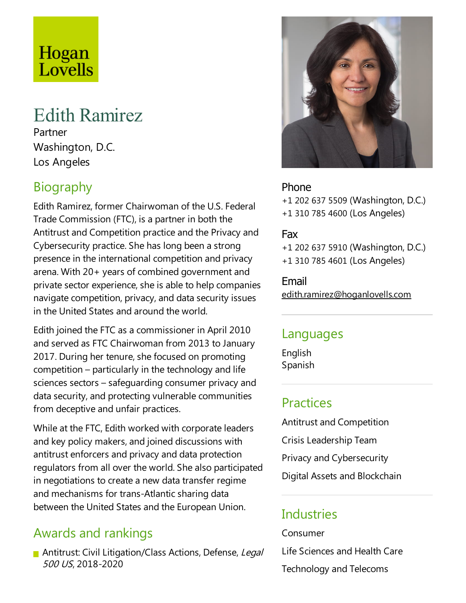# Hogan Lovells

## Edith Ramirez

Partner Washington, D.C. Los Angeles

## **Biography**

Edith Ramirez, former Chairwoman of the U.S. Federal Trade Commission (FTC), is a partner in both the Antitrust and Competition practice and the Privacy and Cybersecurity practice. She has long been a strong presence in the international competition and privacy arena. With  $20+$  years of combined government and private sector experience, she is able to help companies navigate competition, privacy, and data security issues in the United States and around the world.

Edith joined the FTC as a commissioner in April 2010 and served as FTC Chairwoman from 2013 to January 2017. During her tenure, she focused on promoting  $competition - particularly in the technology and life$ sciences sectors – safeguarding consumer privacy and data security, and protecting vulnerable communities from deceptive and unfair practices.

While at the FTC, Edith worked with corporate leaders and key policy makers, and joined discussions with antitrust enforcers and privacy and data protection regulators from all over the world. She also participated in negotiations to create a new data transfer regime and mechanisms for trans-Atlantic sharing data between the United States and the European Union.

### Awards and rankings

Antitrust: Civil Litigation/Class Actions, Defense, Legal <sup>500</sup> US, 2018-2020



#### Phone

+1 202 637 5509 (Washington, D.C.) +1 310 785 4600 (Los Angeles)

#### Fax

+1 202 637 5910 (Washington, D.C.) +1 310 785 4601 (Los Angeles)

Email edith.ramirez@hoganlovells.com

#### Languages

English Spanish

#### **Practices**

Antitrust and Competition Crisis Leadership Team Privacy and Cybersecurity Digital Assets and Blockchain

### **Industries**

Consumer Life Sciences and Health Care Technology and Telecoms